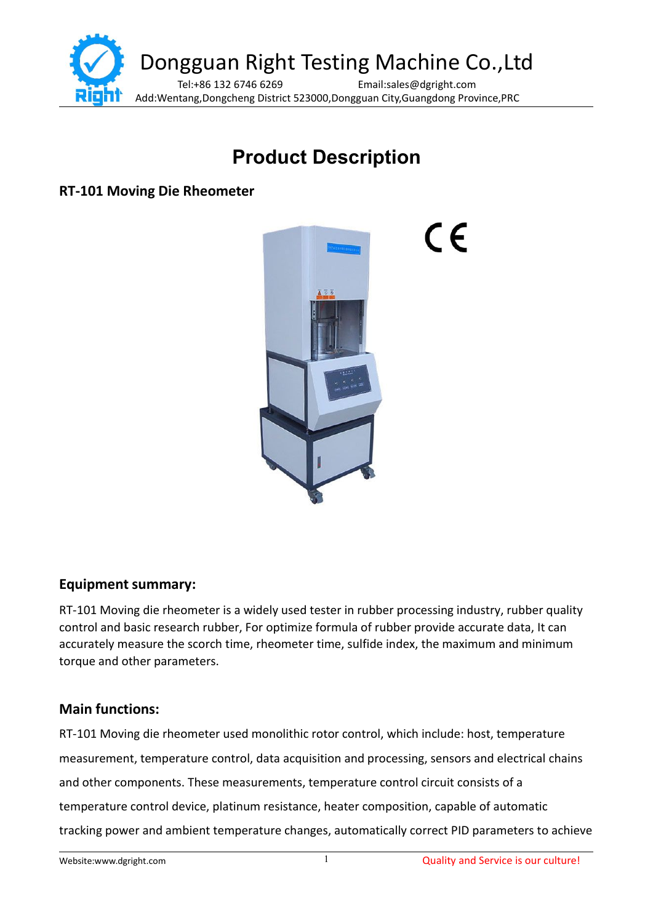

# **Product Description**

 $\epsilon$ 

**RT-101 Moving Die Rheometer**



**Equipment summary:**

RT-101 Moving die rheometer is a widely used tester in rubber processing industry, rubber quality control and basic research rubber, For optimize formula of rubber provide accurate data, It can accurately measure the scorch time, rheometer time, sulfide index, the maximum and minimum torque and other parameters.

## **Main functions:**

RT-101 Moving die rheometer used monolithic rotor control, which include: host, temperature measurement, temperature control, data acquisition and processing, sensors and electrical chains and other components. These measurements, temperature control circuit consists of a temperature control device, platinum resistance, heater composition, capable of automatic tracking power and ambient temperature changes, automatically correct PID parameters to achieve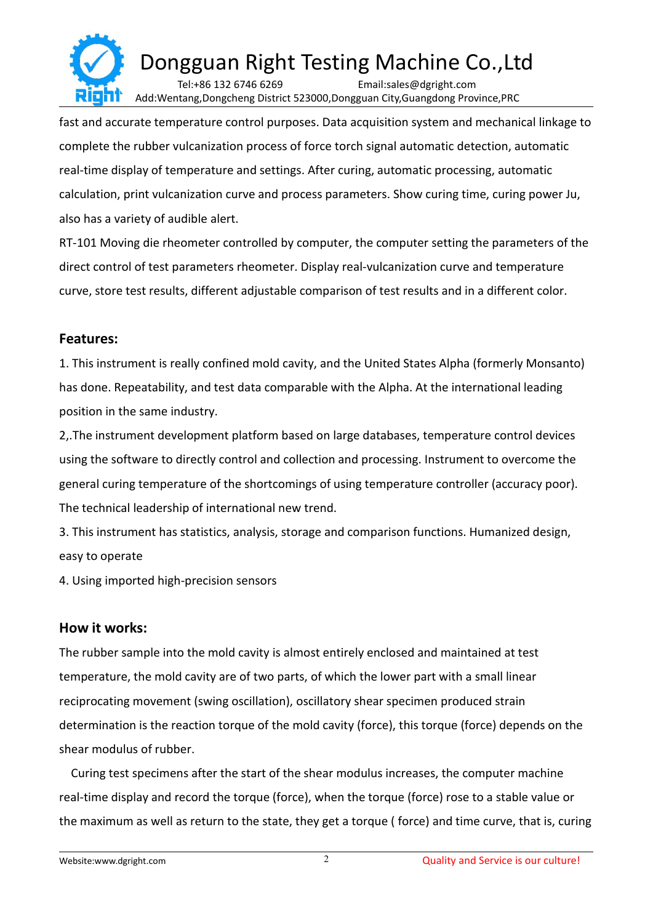

fast and accurate temperature control purposes. Data acquisition system and mechanical linkage to complete the rubber vulcanization process of force torch signal automatic detection, automatic real-time display of temperature and settings. After curing, automatic processing, automatic calculation, print vulcanization curve and process parameters. Show curing time, curing power Ju, also has a variety of audible alert.

RT-101 Moving die rheometer controlled by computer, the computer setting the parameters of the direct control of test parameters rheometer. Display real-vulcanization curve and temperature curve, store test results, different adjustable comparison of test results and in a different color.

#### **Features:**

1. This instrument is really confined mold cavity, and the United States Alpha (formerly Monsanto) has done. Repeatability, and test data comparable with the Alpha. At the international leading position in the same industry.

2,.The instrument development platform based on large databases, temperature control devices using the software to directly control and collection and processing. Instrument to overcome the general curing temperature of the shortcomings of using temperature controller (accuracy poor). The technical leadership of international new trend.

3. This instrument has statistics, analysis, storage and comparison functions. Humanized design, easy to operate

4. Using imported high-precision sensors

#### **How it works:**

The rubber sample into the mold cavity is almost entirely enclosed and maintained at test temperature, the mold cavity are of two parts, of which the lower part with a small linear reciprocating movement (swing oscillation), oscillatory shear specimen produced strain determination is the reaction torque of the mold cavity (force), this torque (force) depends on the shear modulus of rubber.

Curing test specimens after the start of the shear modulus increases, the computer machine real-time display and record the torque (force), when the torque (force) rose to a stable value or the maximum as well as return to the state, they get a torque (force) and time curve, that is, curing